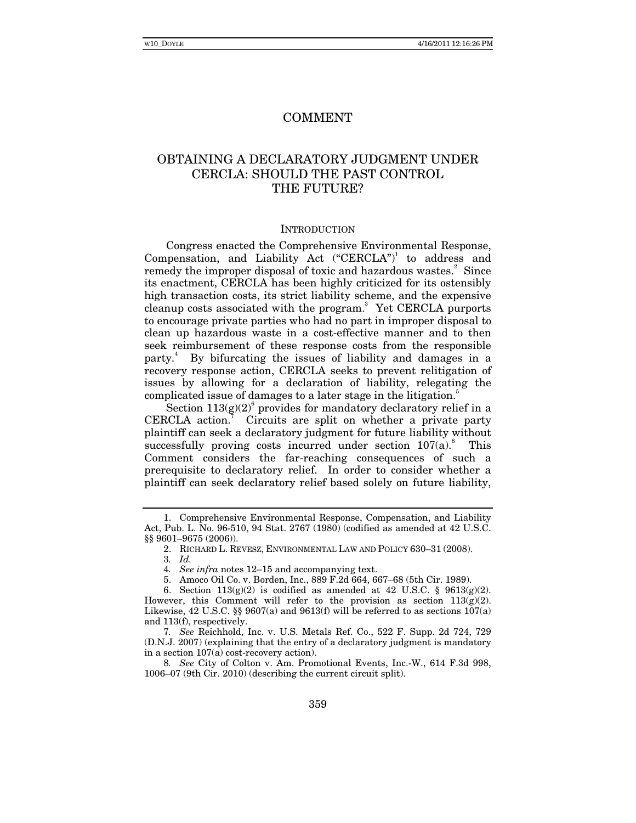# COMMENT

# OBTAINING A DECLARATORY JUDGMENT UNDER CERCLA: SHOULD THE PAST CONTROL THE FUTURE?

#### **INTRODUCTION**

Congress enacted the Comprehensive Environmental Response, Compensation, and Liability Act  $("CERCLA")$ <sup>1</sup> to address and remedy the improper disposal of toxic and hazardous wastes.<sup>2</sup> Since its enactment, CERCLA has been highly criticized for its ostensibly high transaction costs, its strict liability scheme, and the expensive cleanup costs associated with the program.<sup>3</sup> Yet CERCLA purports to encourage private parties who had no part in improper disposal to clean up hazardous waste in a cost-effective manner and to then seek reimbursement of these response costs from the responsible party.<sup>4</sup> By bifurcating the issues of liability and damages in a recovery response action, CERCLA seeks to prevent relitigation of issues by allowing for a declaration of liability, relegating the complicated issue of damages to a later stage in the litigation.<sup>5</sup>

Section  $113(g)(2)^6$  provides for mandatory declaratory relief in a CERCLA action.<sup>7</sup> Circuits are split on whether a private party plaintiff can seek a declaratory judgment for future liability without successfully proving costs incurred under section  $107(a)$ .<sup>8</sup> This Comment considers the far-reaching consequences of such a prerequisite to declaratory relief. In order to consider whether a plaintiff can seek declaratory relief based solely on future liability,

7*. See* Reichhold, Inc. v. U.S. Metals Ref. Co., 522 F. Supp. 2d 724, 729 (D.N.J. 2007) (explaining that the entry of a declaratory judgment is mandatory in a section 107(a) cost-recovery action).

8*. See* City of Colton v. Am. Promotional Events, Inc.-W., 614 F.3d 998, 1006–07 (9th Cir. 2010) (describing the current circuit split).

 <sup>1.</sup> Comprehensive Environmental Response, Compensation, and Liability Act, Pub. L. No. 96-510, 94 Stat. 2767 (1980) (codified as amended at 42 U.S.C. §§ 9601–9675 (2006)).

 <sup>2.</sup> RICHARD L. REVESZ, ENVIRONMENTAL LAW AND POLICY 630–31 (2008).

<sup>3</sup>*. Id.*

<sup>4</sup>*. See infra* notes 12–15 and accompanying text.

 <sup>5.</sup> Amoco Oil Co. v. Borden, Inc., 889 F.2d 664, 667–68 (5th Cir. 1989).

 <sup>6.</sup> Section 113(g)(2) is codified as amended at 42 U.S.C. § 9613(g)(2). However, this Comment will refer to the provision as section  $113(g)(2)$ . Likewise, 42 U.S.C.  $\S$  9607(a) and 9613(f) will be referred to as sections 107(a) and 113(f), respectively.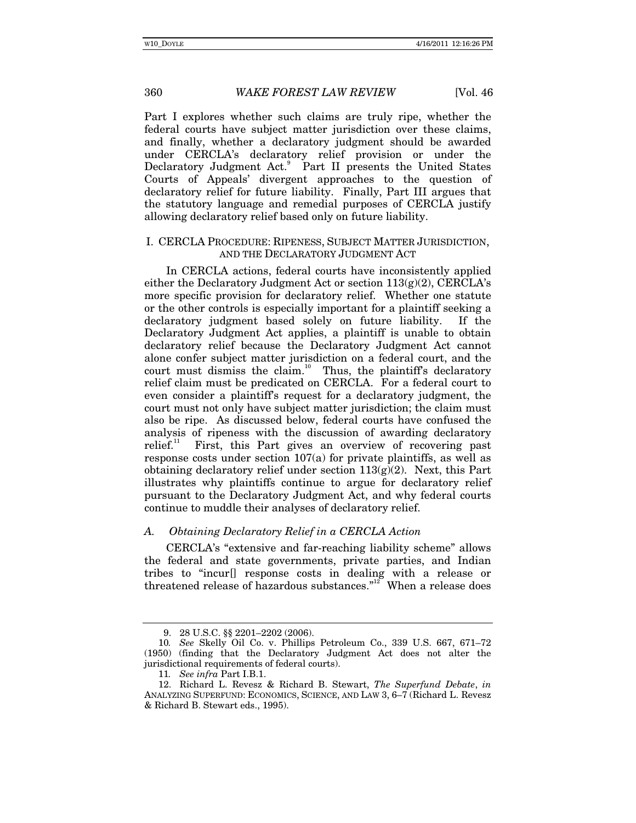Part I explores whether such claims are truly ripe, whether the federal courts have subject matter jurisdiction over these claims, and finally, whether a declaratory judgment should be awarded under CERCLA's declaratory relief provision or under the Declaratory Judgment Act.<sup>9</sup> Part II presents the United States Courts of Appeals' divergent approaches to the question of declaratory relief for future liability. Finally, Part III argues that the statutory language and remedial purposes of CERCLA justify allowing declaratory relief based only on future liability.

#### I. CERCLA PROCEDURE: RIPENESS, SUBJECT MATTER JURISDICTION, AND THE DECLARATORY JUDGMENT ACT

In CERCLA actions, federal courts have inconsistently applied either the Declaratory Judgment Act or section 113(g)(2), CERCLA's more specific provision for declaratory relief. Whether one statute or the other controls is especially important for a plaintiff seeking a declaratory judgment based solely on future liability. If the Declaratory Judgment Act applies, a plaintiff is unable to obtain declaratory relief because the Declaratory Judgment Act cannot alone confer subject matter jurisdiction on a federal court, and the court must dismiss the claim.<sup>10</sup> Thus, the plaintiff's declaratory relief claim must be predicated on CERCLA. For a federal court to even consider a plaintiff's request for a declaratory judgment, the court must not only have subject matter jurisdiction; the claim must also be ripe. As discussed below, federal courts have confused the analysis of ripeness with the discussion of awarding declaratory relief.<sup>11</sup> First, this Part gives an overview of recovering past First, this Part gives an overview of recovering past response costs under section 107(a) for private plaintiffs, as well as obtaining declaratory relief under section  $113(g)(2)$ . Next, this Part illustrates why plaintiffs continue to argue for declaratory relief pursuant to the Declaratory Judgment Act, and why federal courts continue to muddle their analyses of declaratory relief.

# *A. Obtaining Declaratory Relief in a CERCLA Action*

CERCLA's "extensive and far-reaching liability scheme" allows the federal and state governments, private parties, and Indian tribes to "incur[] response costs in dealing with a release or threatened release of hazardous substances."<sup>12</sup> When a release does

 <sup>9. 28</sup> U.S.C. §§ 2201–2202 (2006).

<sup>10</sup>*. See* Skelly Oil Co. v. Phillips Petroleum Co., 339 U.S. 667, 671–72 (1950) (finding that the Declaratory Judgment Act does not alter the jurisdictional requirements of federal courts).

<sup>11</sup>*. See infra* Part I.B.1.

 <sup>12.</sup> Richard L. Revesz & Richard B. Stewart, *The Superfund Debate*, *in*  ANALYZING SUPERFUND: ECONOMICS, SCIENCE, AND LAW 3, 6–7 (Richard L. Revesz & Richard B. Stewart eds., 1995).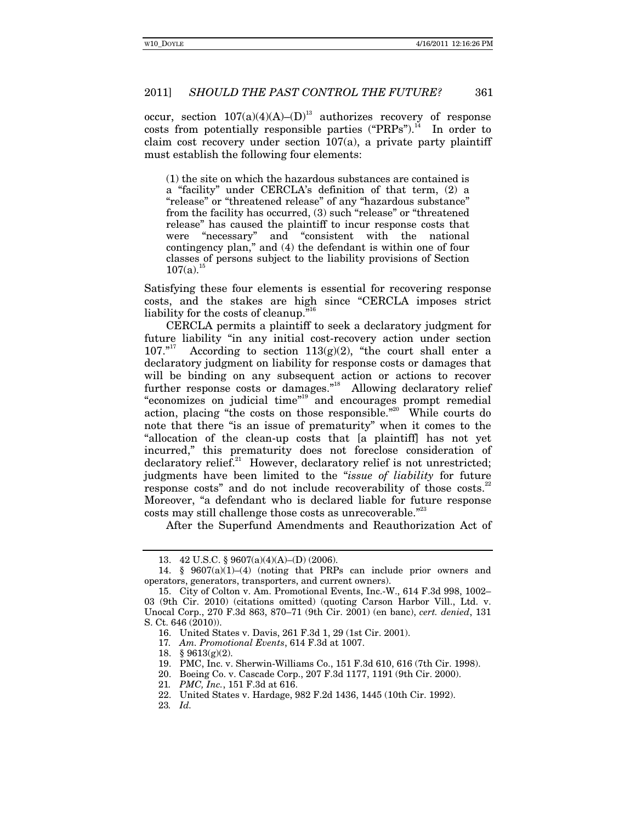occur, section  $107(a)(4)(A)$ – $(D)^{13}$  authorizes recovery of response costs from potentially responsible parties  $("PRPs")$ .<sup>14</sup> In order to claim cost recovery under section 107(a), a private party plaintiff must establish the following four elements:

(1) the site on which the hazardous substances are contained is a "facility" under CERCLA's definition of that term, (2) a "release" or "threatened release" of any "hazardous substance" from the facility has occurred, (3) such "release" or "threatened release" has caused the plaintiff to incur response costs that were "necessary" and "consistent with the national contingency plan," and (4) the defendant is within one of four classes of persons subject to the liability provisions of Section  $107(a).$ <sup>1</sup>

Satisfying these four elements is essential for recovering response costs, and the stakes are high since "CERCLA imposes strict liability for the costs of cleanup."<sup>16</sup>

CERCLA permits a plaintiff to seek a declaratory judgment for future liability "in any initial cost-recovery action under section 107."<sup>17</sup> According to section 113(g)(2), "the court shall enter a According to section  $113(g)(2)$ , "the court shall enter a declaratory judgment on liability for response costs or damages that will be binding on any subsequent action or actions to recover further response costs or damages."<sup>18</sup> Allowing declaratory relief "economizes on judicial time"19 and encourages prompt remedial action, placing "the costs on those responsible."<sup>20</sup> While courts do note that there "is an issue of prematurity" when it comes to the "allocation of the clean-up costs that [a plaintiff] has not yet incurred," this prematurity does not foreclose consideration of declaratory relief.<sup>21</sup> However, declaratory relief is not unrestricted; judgments have been limited to the "*issue of liability* for future response costs" and do not include recoverability of those costs.<sup>22</sup> Moreover, "a defendant who is declared liable for future response costs may still challenge those costs as unrecoverable."<sup>23</sup>

After the Superfund Amendments and Reauthorization Act of

21*. PMC, Inc.*, 151 F.3d at 616.

 <sup>13. 42</sup> U.S.C. § 9607(a)(4)(A)–(D) (2006).

<sup>14.</sup>  $\frac{8}{9607(a)(1)-(4)}$  (noting that PRPs can include prior owners and operators, generators, transporters, and current owners).

 <sup>15.</sup> City of Colton v. Am. Promotional Events, Inc.-W., 614 F.3d 998, 1002– 03 (9th Cir. 2010) (citations omitted) (quoting Carson Harbor Vill., Ltd. v. Unocal Corp., 270 F.3d 863, 870–71 (9th Cir. 2001) (en banc), *cert. denied*, 131 S. Ct. 646 (2010)).

 <sup>16.</sup> United States v. Davis, 261 F.3d 1, 29 (1st Cir. 2001).

<sup>17</sup>*. Am. Promotional Events*, 614 F.3d at 1007.

 <sup>18. § 9613(</sup>g)(2).

 <sup>19.</sup> PMC, Inc. v. Sherwin-Williams Co., 151 F.3d 610, 616 (7th Cir. 1998).

 <sup>20.</sup> Boeing Co. v. Cascade Corp., 207 F.3d 1177, 1191 (9th Cir. 2000).

 <sup>22.</sup> United States v. Hardage, 982 F.2d 1436, 1445 (10th Cir. 1992).

<sup>23</sup>*. Id.*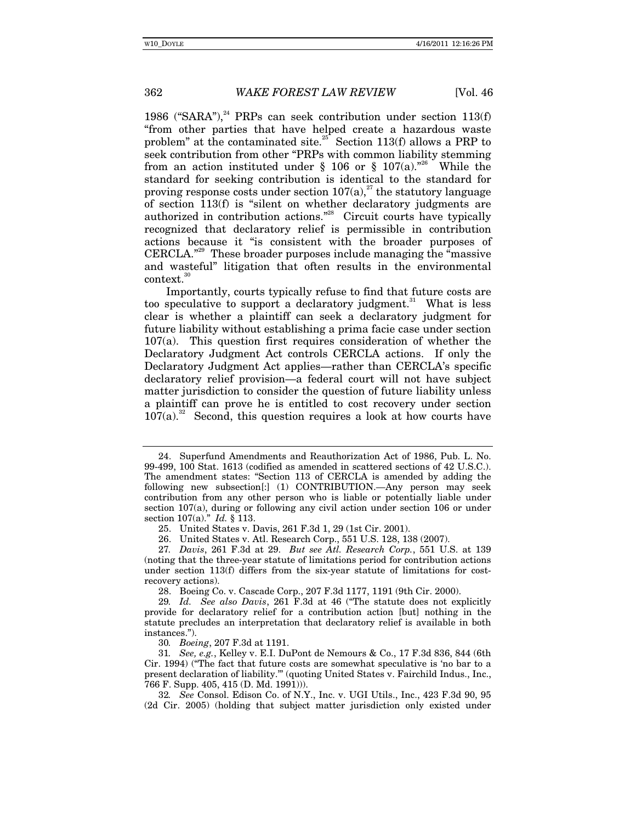1986 ("SARA"), $^{24}$  PRPs can seek contribution under section 113(f) "from other parties that have helped create a hazardous waste problem" at the contaminated site.<sup>25</sup> Section 113(f) allows a PRP to seek contribution from other "PRPs with common liability stemming from an action instituted under § 106 or § 107(a).<sup>"26</sup> While the standard for seeking contribution is identical to the standard for proving response costs under section  $107(a)$ ,<sup>27</sup> the statutory language of section 113(f) is "silent on whether declaratory judgments are authorized in contribution actions."28 Circuit courts have typically recognized that declaratory relief is permissible in contribution actions because it "is consistent with the broader purposes of CERCLA."29 These broader purposes include managing the "massive and wasteful" litigation that often results in the environmental context.<sup>30</sup>

Importantly, courts typically refuse to find that future costs are too speculative to support a declaratory judgment.<sup>31</sup> What is less clear is whether a plaintiff can seek a declaratory judgment for future liability without establishing a prima facie case under section 107(a). This question first requires consideration of whether the Declaratory Judgment Act controls CERCLA actions. If only the Declaratory Judgment Act applies—rather than CERCLA's specific declaratory relief provision—a federal court will not have subject matter jurisdiction to consider the question of future liability unless a plaintiff can prove he is entitled to cost recovery under section  $107(a)$ <sup>32</sup> Second, this question requires a look at how courts have

28. Boeing Co. v. Cascade Corp., 207 F.3d 1177, 1191 (9th Cir. 2000).

30*. Boeing*, 207 F.3d at 1191.

31*. See, e.g.*, Kelley v. E.I. DuPont de Nemours & Co., 17 F.3d 836, 844 (6th Cir. 1994) ("The fact that future costs are somewhat speculative is 'no bar to a present declaration of liability.'" (quoting United States v. Fairchild Indus., Inc., 766 F. Supp. 405, 415 (D. Md. 1991))).

32*. See* Consol. Edison Co. of N.Y., Inc. v. UGI Utils., Inc., 423 F.3d 90, 95 (2d Cir. 2005) (holding that subject matter jurisdiction only existed under

 <sup>24.</sup> Superfund Amendments and Reauthorization Act of 1986, Pub. L. No. 99-499, 100 Stat. 1613 (codified as amended in scattered sections of 42 U.S.C.). The amendment states: "Section 113 of CERCLA is amended by adding the following new subsection[:] (1) CONTRIBUTION.—Any person may seek contribution from any other person who is liable or potentially liable under section 107(a), during or following any civil action under section 106 or under section 107(a)." *Id.* § 113.

 <sup>25.</sup> United States v. Davis, 261 F.3d 1, 29 (1st Cir. 2001).

 <sup>26.</sup> United States v. Atl. Research Corp., 551 U.S. 128, 138 (2007).

<sup>27</sup>*. Davis*, 261 F.3d at 29. *But see Atl. Research Corp.*, 551 U.S. at 139 (noting that the three-year statute of limitations period for contribution actions under section 113(f) differs from the six-year statute of limitations for costrecovery actions).

<sup>29</sup>*. Id. See also Davis*, 261 F.3d at 46 ("The statute does not explicitly provide for declaratory relief for a contribution action [but] nothing in the statute precludes an interpretation that declaratory relief is available in both instances.").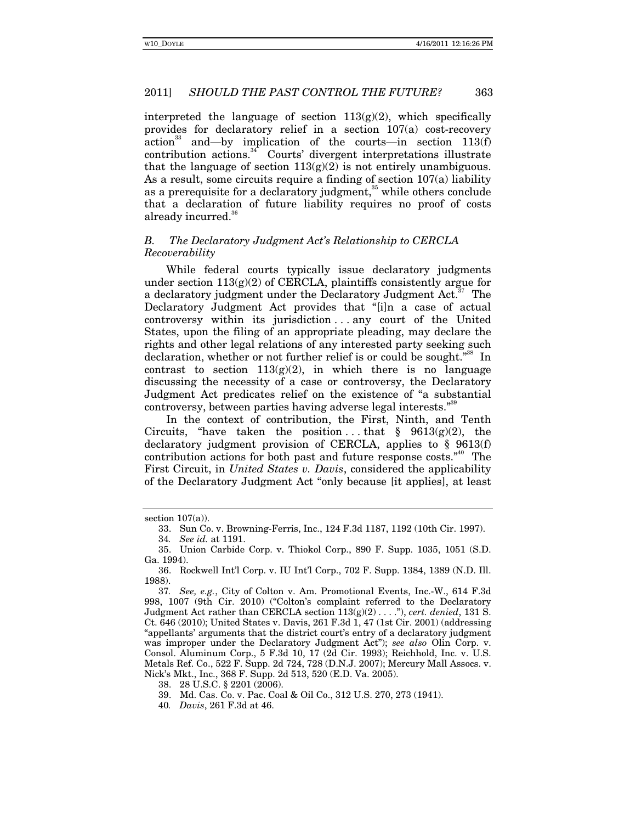interpreted the language of section  $113(g)(2)$ , which specifically provides for declaratory relief in a section 107(a) cost-recovery action<sup>33</sup> and—by implication of the courts—in section  $113(f)$  $contribution$   $actions$ <sup>34</sup> Courts' divergent interpretations illustrate that the language of section  $113(g)(2)$  is not entirely unambiguous. As a result, some circuits require a finding of section 107(a) liability as a prerequisite for a declaratory judgment,<sup>35</sup> while others conclude that a declaration of future liability requires no proof of costs already incurred.<sup>36</sup>

# *B. The Declaratory Judgment Act's Relationship to CERCLA Recoverability*

While federal courts typically issue declaratory judgments under section  $113(g)(2)$  of CERCLA, plaintiffs consistently argue for a declaratory judgment under the Declaratory Judgment Act.<sup>37</sup> The Declaratory Judgment Act provides that "[i]n a case of actual controversy within its jurisdiction . . . any court of the United States, upon the filing of an appropriate pleading, may declare the rights and other legal relations of any interested party seeking such declaration, whether or not further relief is or could be sought."<sup>38</sup> In contrast to section  $113(g(2))$ , in which there is no language discussing the necessity of a case or controversy, the Declaratory Judgment Act predicates relief on the existence of "a substantial controversy, between parties having adverse legal interests."<sup>39</sup>

In the context of contribution, the First, Ninth, and Tenth Circuits, "have taken the position ... that  $\S$  9613(g)(2), the declaratory judgment provision of CERCLA, applies to § 9613(f) contribution actions for both past and future response costs."<sup>40</sup> The First Circuit, in *United States v. Davis*, considered the applicability of the Declaratory Judgment Act "only because [it applies], at least

section 107(a)).

 <sup>33.</sup> Sun Co. v. Browning-Ferris, Inc., 124 F.3d 1187, 1192 (10th Cir. 1997).

<sup>34</sup>*. See id.* at 1191.

 <sup>35.</sup> Union Carbide Corp. v. Thiokol Corp., 890 F. Supp. 1035, 1051 (S.D. Ga. 1994).

 <sup>36.</sup> Rockwell Int'l Corp. v. IU Int'l Corp., 702 F. Supp. 1384, 1389 (N.D. Ill. 1988).

<sup>37</sup>*. See, e.g.*, City of Colton v. Am. Promotional Events, Inc.-W., 614 F.3d 998, 1007 (9th Cir. 2010) ("Colton's complaint referred to the Declaratory Judgment Act rather than CERCLA section 113(g)(2) . . . ."), *cert. denied*, 131 S. Ct. 646 (2010); United States v. Davis, 261 F.3d 1, 47 (1st Cir. 2001) (addressing "appellants' arguments that the district court's entry of a declaratory judgment was improper under the Declaratory Judgment Act"); *see also* Olin Corp. v. Consol. Aluminum Corp., 5 F.3d 10, 17 (2d Cir. 1993); Reichhold, Inc. v. U.S. Metals Ref. Co., 522 F. Supp. 2d 724, 728 (D.N.J. 2007); Mercury Mall Assocs. v. Nick's Mkt., Inc., 368 F. Supp. 2d 513, 520 (E.D. Va. 2005).

 <sup>38. 28</sup> U.S.C. § 2201 (2006).

 <sup>39.</sup> Md. Cas. Co. v. Pac. Coal & Oil Co., 312 U.S. 270, 273 (1941).

<sup>40</sup>*. Davis*, 261 F.3d at 46.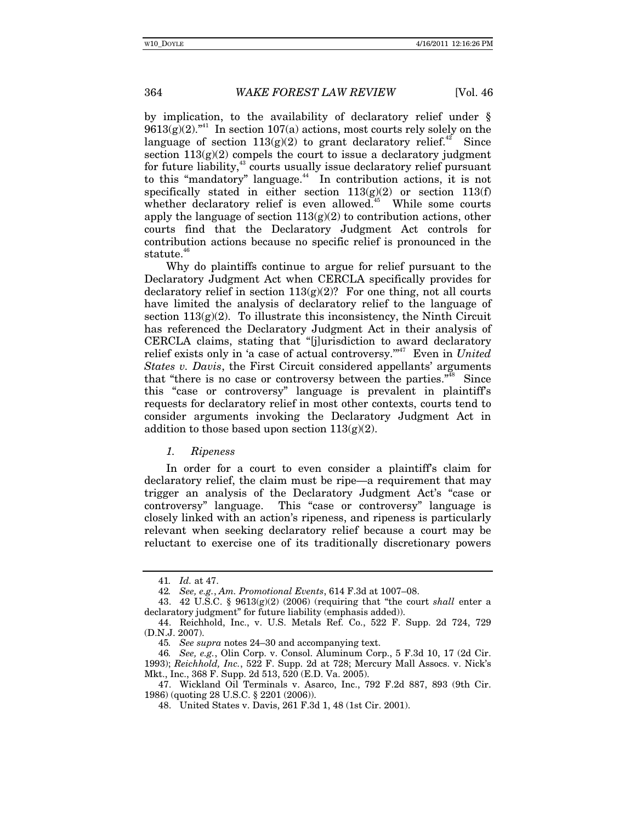by implication, to the availability of declaratory relief under §  $9613(g)(2)$ .<sup>"41</sup> In section  $107(a)$  actions, most courts rely solely on the language of section  $113(g)(2)$  to grant declaratory relief.<sup>42</sup> Since section  $113(g)(2)$  compels the court to issue a declaratory judgment for future liability,<sup>43</sup> courts usually issue declaratory relief pursuant to this "mandatory" language.<sup>44</sup> In contribution actions, it is not specifically stated in either section  $113(g)(2)$  or section  $113(f)$ whether declaratory relief is even allowed.<sup>45</sup> While some courts apply the language of section  $113(g)(2)$  to contribution actions, other courts find that the Declaratory Judgment Act controls for contribution actions because no specific relief is pronounced in the statute. $46$ 

Why do plaintiffs continue to argue for relief pursuant to the Declaratory Judgment Act when CERCLA specifically provides for declaratory relief in section  $113(g)(2)$ ? For one thing, not all courts have limited the analysis of declaratory relief to the language of section  $113(g)(2)$ . To illustrate this inconsistency, the Ninth Circuit has referenced the Declaratory Judgment Act in their analysis of CERCLA claims, stating that "[j]urisdiction to award declaratory relief exists only in 'a case of actual controversy."<sup>47</sup> Even in *United States v. Davis*, the First Circuit considered appellants' arguments that "there is no case or controversy between the parties."<sup>48</sup> Since this "case or controversy" language is prevalent in plaintiff's requests for declaratory relief in most other contexts, courts tend to consider arguments invoking the Declaratory Judgment Act in addition to those based upon section  $113(g)(2)$ .

#### *1. Ripeness*

In order for a court to even consider a plaintiff's claim for declaratory relief, the claim must be ripe—a requirement that may trigger an analysis of the Declaratory Judgment Act's "case or controversy" language. This "case or controversy" language is closely linked with an action's ripeness, and ripeness is particularly relevant when seeking declaratory relief because a court may be reluctant to exercise one of its traditionally discretionary powers

<sup>41</sup>*. Id.* at 47.

<sup>42</sup>*. See, e.g.*, *Am. Promotional Events*, 614 F.3d at 1007–08.

 <sup>43. 42</sup> U.S.C. § 9613(g)(2) (2006) (requiring that "the court *shall* enter a declaratory judgment" for future liability (emphasis added)).

 <sup>44.</sup> Reichhold, Inc., v. U.S. Metals Ref. Co., 522 F. Supp. 2d 724, 729 (D.N.J. 2007).

<sup>45</sup>*. See supra* notes 24–30 and accompanying text.

<sup>46</sup>*. See, e.g.*, Olin Corp. v. Consol. Aluminum Corp., 5 F.3d 10, 17 (2d Cir. 1993); *Reichhold, Inc.*, 522 F. Supp. 2d at 728; Mercury Mall Assocs. v. Nick's Mkt., Inc., 368 F. Supp. 2d 513, 520 (E.D. Va. 2005).

 <sup>47.</sup> Wickland Oil Terminals v. Asarco, Inc., 792 F.2d 887, 893 (9th Cir. 1986) (quoting 28 U.S.C. § 2201 (2006)).

 <sup>48.</sup> United States v. Davis, 261 F.3d 1, 48 (1st Cir. 2001).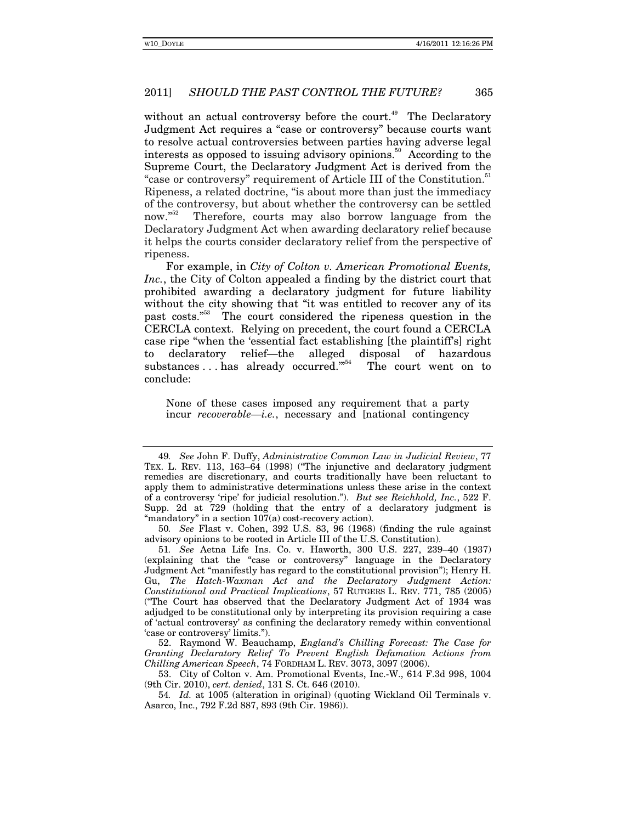without an actual controversy before the court.<sup>49</sup> The Declaratory Judgment Act requires a "case or controversy" because courts want to resolve actual controversies between parties having adverse legal interests as opposed to issuing advisory opinions.<sup>50</sup> According to the Supreme Court, the Declaratory Judgment Act is derived from the "case or controversy" requirement of Article III of the Constitution.<sup>51</sup> Ripeness, a related doctrine, "is about more than just the immediacy of the controversy, but about whether the controversy can be settled now."<sup>52</sup> Therefore, courts may also borrow language from the Declaratory Judgment Act when awarding declaratory relief because it helps the courts consider declaratory relief from the perspective of ripeness.

For example, in *City of Colton v. American Promotional Events, Inc.*, the City of Colton appealed a finding by the district court that prohibited awarding a declaratory judgment for future liability without the city showing that "it was entitled to recover any of its past costs."53 The court considered the ripeness question in the CERCLA context. Relying on precedent, the court found a CERCLA case ripe "when the 'essential fact establishing [the plaintiff's] right to declaratory relief—the alleged disposal of hazardous substances ... has already occurred."<sup>54</sup> The court went on to conclude:

None of these cases imposed any requirement that a party incur *recoverable*—*i.e.*, necessary and [national contingency

50*. See* Flast v. Cohen, 392 U.S. 83, 96 (1968) (finding the rule against advisory opinions to be rooted in Article III of the U.S. Constitution).

51*. See* Aetna Life Ins. Co. v. Haworth, 300 U.S. 227, 239–40 (1937) (explaining that the "case or controversy" language in the Declaratory Judgment Act "manifestly has regard to the constitutional provision"); Henry H. Gu, *The Hatch-Waxman Act and the Declaratory Judgment Action: Constitutional and Practical Implications*, 57 RUTGERS L. REV. 771, 785 (2005) ("The Court has observed that the Declaratory Judgment Act of 1934 was adjudged to be constitutional only by interpreting its provision requiring a case of 'actual controversy' as confining the declaratory remedy within conventional 'case or controversy' limits.").

 52. Raymond W. Beauchamp, *England's Chilling Forecast: The Case for Granting Declaratory Relief To Prevent English Defamation Actions from Chilling American Speech*, 74 FORDHAM L. REV. 3073, 3097 (2006).

 53. City of Colton v. Am. Promotional Events, Inc.-W., 614 F.3d 998, 1004 (9th Cir. 2010), *cert. denied*, 131 S. Ct. 646 (2010).

54*. Id.* at 1005 (alteration in original) (quoting Wickland Oil Terminals v. Asarco, Inc., 792 F.2d 887, 893 (9th Cir. 1986)).

<sup>49</sup>*. See* John F. Duffy, *Administrative Common Law in Judicial Review*, 77 TEX. L. REV. 113, 163–64 (1998) ("The injunctive and declaratory judgment remedies are discretionary, and courts traditionally have been reluctant to apply them to administrative determinations unless these arise in the context of a controversy 'ripe' for judicial resolution."). *But see Reichhold, Inc.*, 522 F. Supp. 2d at 729 (holding that the entry of a declaratory judgment is "mandatory" in a section  $107(a)$  cost-recovery action).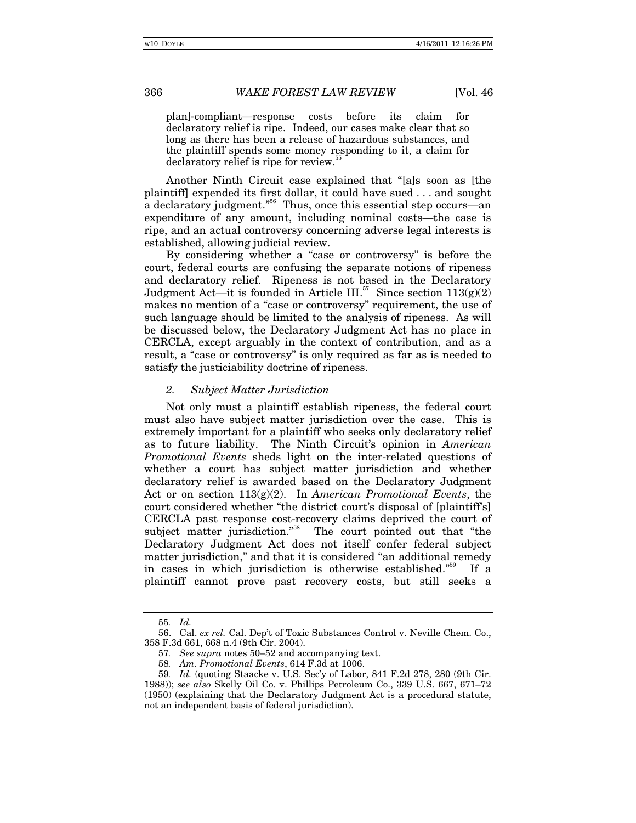plan]-compliant—response costs before its claim for declaratory relief is ripe. Indeed, our cases make clear that so long as there has been a release of hazardous substances, and the plaintiff spends some money responding to it, a claim for declaratory relief is ripe for review.<sup>5</sup>

Another Ninth Circuit case explained that "[a]s soon as [the plaintiff] expended its first dollar, it could have sued . . . and sought a declaratory judgment."56 Thus, once this essential step occurs—an expenditure of any amount, including nominal costs—the case is ripe, and an actual controversy concerning adverse legal interests is established, allowing judicial review.

By considering whether a "case or controversy" is before the court, federal courts are confusing the separate notions of ripeness and declaratory relief. Ripeness is not based in the Declaratory Judgment Act—it is founded in Article III.<sup>57</sup> Since section  $113(g)(2)$ makes no mention of a "case or controversy" requirement, the use of such language should be limited to the analysis of ripeness. As will be discussed below, the Declaratory Judgment Act has no place in CERCLA, except arguably in the context of contribution, and as a result, a "case or controversy" is only required as far as is needed to satisfy the justiciability doctrine of ripeness.

#### *2. Subject Matter Jurisdiction*

Not only must a plaintiff establish ripeness, the federal court must also have subject matter jurisdiction over the case. This is extremely important for a plaintiff who seeks only declaratory relief as to future liability. The Ninth Circuit's opinion in *American Promotional Events* sheds light on the inter-related questions of whether a court has subject matter jurisdiction and whether declaratory relief is awarded based on the Declaratory Judgment Act or on section 113(g)(2). In *American Promotional Events*, the court considered whether "the district court's disposal of [plaintiff's] CERCLA past response cost-recovery claims deprived the court of subject matter jurisdiction."<sup>58</sup> The court pointed out that "the Declaratory Judgment Act does not itself confer federal subject matter jurisdiction," and that it is considered "an additional remedy in cases in which jurisdiction is otherwise established."<sup>59</sup> If a plaintiff cannot prove past recovery costs, but still seeks a

<sup>55</sup>*. Id.*

 <sup>56.</sup> Cal. *ex rel.* Cal. Dep't of Toxic Substances Control v. Neville Chem. Co., 358 F.3d 661, 668 n.4 (9th Cir. 2004).

<sup>57</sup>*. See supra* notes 50–52 and accompanying text.

<sup>58</sup>*. Am. Promotional Events*, 614 F.3d at 1006.

<sup>59</sup>*. Id.* (quoting Staacke v. U.S. Sec'y of Labor, 841 F.2d 278, 280 (9th Cir. 1988)); *see also* Skelly Oil Co. v. Phillips Petroleum Co., 339 U.S. 667, 671–72 (1950) (explaining that the Declaratory Judgment Act is a procedural statute, not an independent basis of federal jurisdiction).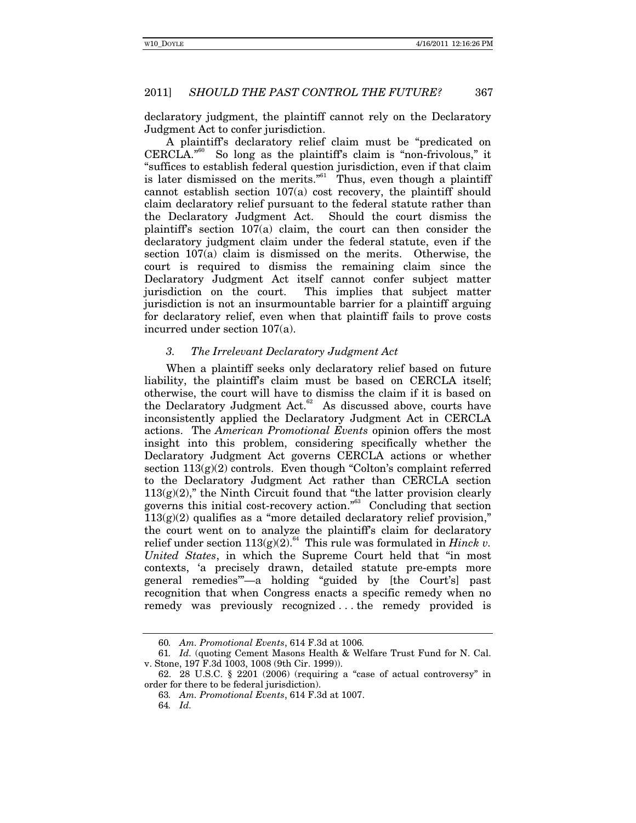declaratory judgment, the plaintiff cannot rely on the Declaratory Judgment Act to confer jurisdiction.

A plaintiff's declaratory relief claim must be "predicated on  $CERCLA.<sup>960</sup>$  So long as the plaintiff's claim is "non-frivolous," it "suffices to establish federal question jurisdiction, even if that claim is later dismissed on the merits."<sup>61</sup> Thus, even though a plaintiff cannot establish section 107(a) cost recovery, the plaintiff should claim declaratory relief pursuant to the federal statute rather than the Declaratory Judgment Act. Should the court dismiss the plaintiff's section 107(a) claim, the court can then consider the declaratory judgment claim under the federal statute, even if the section 107(a) claim is dismissed on the merits. Otherwise, the court is required to dismiss the remaining claim since the Declaratory Judgment Act itself cannot confer subject matter jurisdiction on the court. This implies that subject matter jurisdiction is not an insurmountable barrier for a plaintiff arguing for declaratory relief, even when that plaintiff fails to prove costs incurred under section 107(a).

# *3. The Irrelevant Declaratory Judgment Act*

When a plaintiff seeks only declaratory relief based on future liability, the plaintiff's claim must be based on CERCLA itself; otherwise, the court will have to dismiss the claim if it is based on the Declaratory Judgment Act.<sup>62</sup> As discussed above, courts have inconsistently applied the Declaratory Judgment Act in CERCLA actions. The *American Promotional Events* opinion offers the most insight into this problem, considering specifically whether the Declaratory Judgment Act governs CERCLA actions or whether section  $113(g)(2)$  controls. Even though "Colton's complaint referred to the Declaratory Judgment Act rather than CERCLA section  $113(g)(2)$ ," the Ninth Circuit found that "the latter provision clearly governs this initial cost-recovery action."63 Concluding that section  $113(g)(2)$  qualifies as a "more detailed declaratory relief provision," the court went on to analyze the plaintiff's claim for declaratory relief under section  $113(g)(2)$ .<sup>64</sup> This rule was formulated in *Hinck v*. *United States*, in which the Supreme Court held that "in most contexts, 'a precisely drawn, detailed statute pre-empts more general remedies'"—a holding "guided by [the Court's] past recognition that when Congress enacts a specific remedy when no remedy was previously recognized . . . the remedy provided is

<sup>60</sup>*. Am. Promotional Events*, 614 F.3d at 1006*.*

<sup>61</sup>*. Id.* (quoting Cement Masons Health & Welfare Trust Fund for N. Cal. v. Stone, 197 F.3d 1003, 1008 (9th Cir. 1999)).

 <sup>62. 28</sup> U.S.C. § 2201 (2006) (requiring a "case of actual controversy" in order for there to be federal jurisdiction).

<sup>63</sup>*. Am. Promotional Events*, 614 F.3d at 1007.

<sup>64</sup>*. Id.*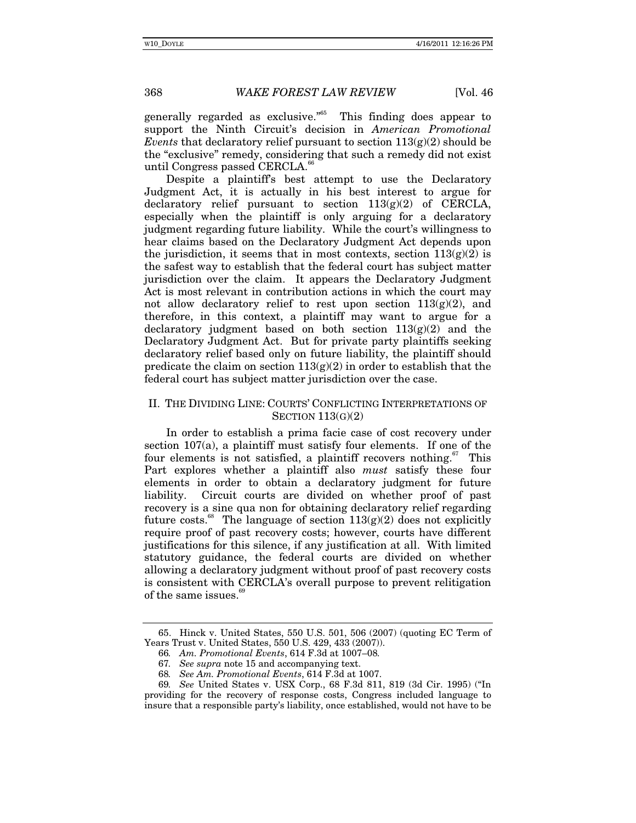generally regarded as exclusive.<sup> $565$ </sup> This finding does appear to support the Ninth Circuit's decision in *American Promotional Events* that declaratory relief pursuant to section  $113(g)(2)$  should be the "exclusive" remedy, considering that such a remedy did not exist until Congress passed CERCLA.<sup>66</sup>

Despite a plaintiff's best attempt to use the Declaratory Judgment Act, it is actually in his best interest to argue for declaratory relief pursuant to section  $113(g)(2)$  of CERCLA, especially when the plaintiff is only arguing for a declaratory judgment regarding future liability. While the court's willingness to hear claims based on the Declaratory Judgment Act depends upon the jurisdiction, it seems that in most contexts, section  $113(g)(2)$  is the safest way to establish that the federal court has subject matter jurisdiction over the claim. It appears the Declaratory Judgment Act is most relevant in contribution actions in which the court may not allow declaratory relief to rest upon section  $113(g)(2)$ , and therefore, in this context, a plaintiff may want to argue for a declaratory judgment based on both section  $113(g)(2)$  and the Declaratory Judgment Act. But for private party plaintiffs seeking declaratory relief based only on future liability, the plaintiff should predicate the claim on section  $113(g)(2)$  in order to establish that the federal court has subject matter jurisdiction over the case.

#### II. THE DIVIDING LINE: COURTS' CONFLICTING INTERPRETATIONS OF SECTION  $113(G)(2)$

In order to establish a prima facie case of cost recovery under section 107(a), a plaintiff must satisfy four elements. If one of the four elements is not satisfied, a plaintiff recovers nothing. $67$  This Part explores whether a plaintiff also *must* satisfy these four elements in order to obtain a declaratory judgment for future liability. Circuit courts are divided on whether proof of past recovery is a sine qua non for obtaining declaratory relief regarding future costs.<sup>68</sup> The language of section  $113(g)(2)$  does not explicitly require proof of past recovery costs; however, courts have different justifications for this silence, if any justification at all. With limited statutory guidance, the federal courts are divided on whether allowing a declaratory judgment without proof of past recovery costs is consistent with CERCLA's overall purpose to prevent relitigation of the same issues.<sup>69</sup>

 <sup>65.</sup> Hinck v. United States, 550 U.S. 501, 506 (2007) (quoting EC Term of Years Trust v. United States, 550 U.S. 429, 433 (2007)).

<sup>66</sup>*. Am. Promotional Events*, 614 F.3d at 1007–08*.* 

<sup>67</sup>*. See supra* note 15 and accompanying text.

<sup>68</sup>*. See Am. Promotional Events*, 614 F.3d at 1007.

<sup>69</sup>*. See* United States v. USX Corp., 68 F.3d 811, 819 (3d Cir. 1995) ("In providing for the recovery of response costs, Congress included language to insure that a responsible party's liability, once established, would not have to be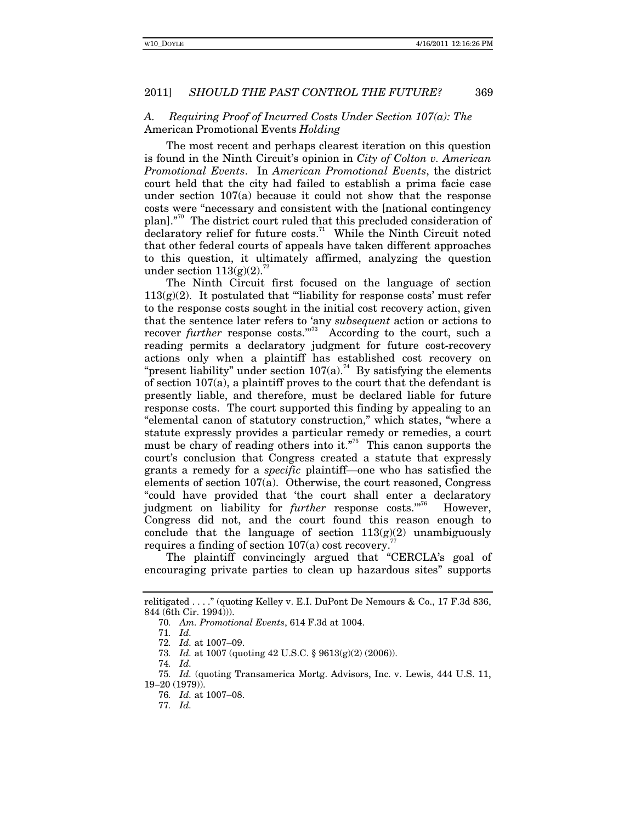#### *A. Requiring Proof of Incurred Costs Under Section 107(a): The*  American Promotional Events *Holding*

The most recent and perhaps clearest iteration on this question is found in the Ninth Circuit's opinion in *City of Colton v. American Promotional Events*. In *American Promotional Events*, the district court held that the city had failed to establish a prima facie case under section 107(a) because it could not show that the response costs were "necessary and consistent with the [national contingency plan]."70 The district court ruled that this precluded consideration of  $\alpha$  declaratory relief for future costs.<sup>71</sup> While the Ninth Circuit noted that other federal courts of appeals have taken different approaches to this question, it ultimately affirmed, analyzing the question under section  $113(g)(2)$ .<sup>72</sup>

The Ninth Circuit first focused on the language of section  $113(g)(2)$ . It postulated that "'liability for response costs' must refer to the response costs sought in the initial cost recovery action, given that the sentence later refers to 'any *subsequent* action or actions to recover *further* response costs."<sup>73</sup> According to the court, such a reading permits a declaratory judgment for future cost-recovery actions only when a plaintiff has established cost recovery on "present liability" under section  $107(a)$ .<sup>74</sup> By satisfying the elements of section 107(a), a plaintiff proves to the court that the defendant is presently liable, and therefore, must be declared liable for future response costs. The court supported this finding by appealing to an "elemental canon of statutory construction," which states, "where a statute expressly provides a particular remedy or remedies, a court must be chary of reading others into it."<sup>75</sup> This canon supports the court's conclusion that Congress created a statute that expressly grants a remedy for a *specific* plaintiff—one who has satisfied the elements of section 107(a). Otherwise, the court reasoned, Congress "could have provided that 'the court shall enter a declaratory judgment on liability for *further* response costs."<sup>76</sup> However, Congress did not, and the court found this reason enough to conclude that the language of section  $113(g)(2)$  unambiguously requires a finding of section  $107(a)$  cost recovery.<sup>7</sup>

The plaintiff convincingly argued that "CERCLA's goal of encouraging private parties to clean up hazardous sites" supports

relitigated . . . ." (quoting Kelley v. E.I. DuPont De Nemours & Co., 17 F.3d 836, 844 (6th Cir. 1994))).

<sup>70</sup>*. Am. Promotional Events*, 614 F.3d at 1004.

<sup>71</sup>*. Id.*

<sup>72</sup>*. Id.* at 1007–09.

<sup>73</sup>*. Id.* at 1007 (quoting 42 U.S.C. § 9613(g)(2) (2006)).

<sup>74</sup>*. Id.* 

<sup>75</sup>*. Id.* (quoting Transamerica Mortg. Advisors, Inc. v. Lewis, 444 U.S. 11, 19–20 (1979)).

<sup>76</sup>*. Id.* at 1007–08.

<sup>77</sup>*. Id.*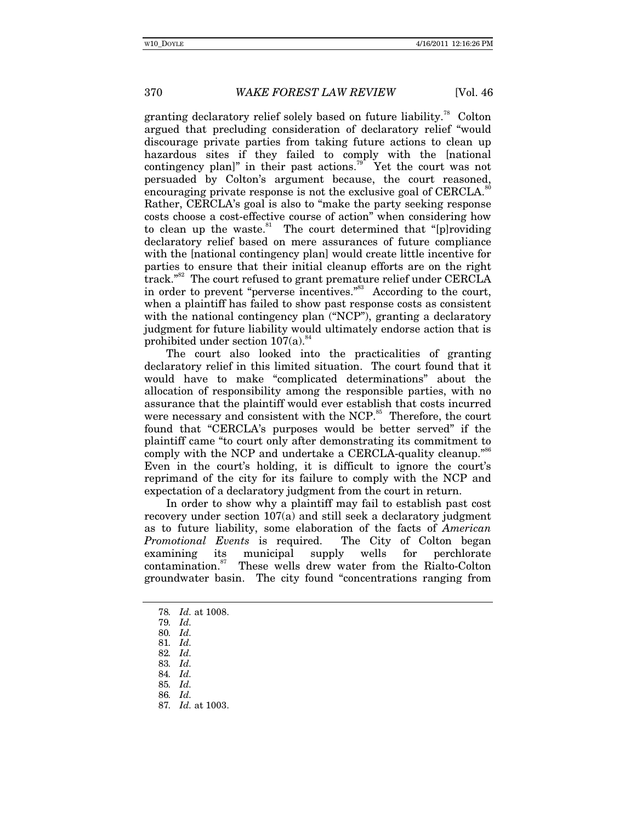granting declaratory relief solely based on future liability.<sup>78</sup> Colton argued that precluding consideration of declaratory relief "would discourage private parties from taking future actions to clean up hazardous sites if they failed to comply with the [national contingency plan]" in their past actions.<sup>79</sup> Yet the court was not persuaded by Colton's argument because, the court reasoned, encouraging private response is not the exclusive goal of  $CERC{L}\mathbf{A}$ . Rather, CERCLA's goal is also to "make the party seeking response costs choose a cost-effective course of action" when considering how to clean up the waste. $81$  The court determined that "[p]roviding declaratory relief based on mere assurances of future compliance with the [national contingency plan] would create little incentive for parties to ensure that their initial cleanup efforts are on the right track."<sup>82</sup> The court refused to grant premature relief under CERCLA in order to prevent "perverse incentives."<sup>83</sup> According to the court, when a plaintiff has failed to show past response costs as consistent with the national contingency plan ("NCP"), granting a declaratory judgment for future liability would ultimately endorse action that is prohibited under section  $107(a)$ .<sup>84</sup>

The court also looked into the practicalities of granting declaratory relief in this limited situation. The court found that it would have to make "complicated determinations" about the allocation of responsibility among the responsible parties, with no assurance that the plaintiff would ever establish that costs incurred were necessary and consistent with the NCP.<sup>85</sup> Therefore, the court found that "CERCLA's purposes would be better served" if the plaintiff came "to court only after demonstrating its commitment to comply with the NCP and undertake a CERCLA-quality cleanup."<sup>86</sup> Even in the court's holding, it is difficult to ignore the court's reprimand of the city for its failure to comply with the NCP and expectation of a declaratory judgment from the court in return.

In order to show why a plaintiff may fail to establish past cost recovery under section 107(a) and still seek a declaratory judgment as to future liability, some elaboration of the facts of *American Promotional Events* is required. The City of Colton began examining its municipal supply wells for perchlorate contamination.<sup>87</sup> These wells drew water from the Rialto-Colton These wells drew water from the Rialto-Colton groundwater basin. The city found "concentrations ranging from

80*. Id.*

<sup>78</sup>*. Id.* at 1008.

<sup>79</sup>*. Id.* 

<sup>81</sup>*. Id.* 

<sup>82</sup>*. Id.* 

<sup>83</sup>*. Id.* 84*. Id.* 

<sup>85</sup>*. Id.*

<sup>86</sup>*. Id.* 

<sup>87</sup>*. Id.* at 1003.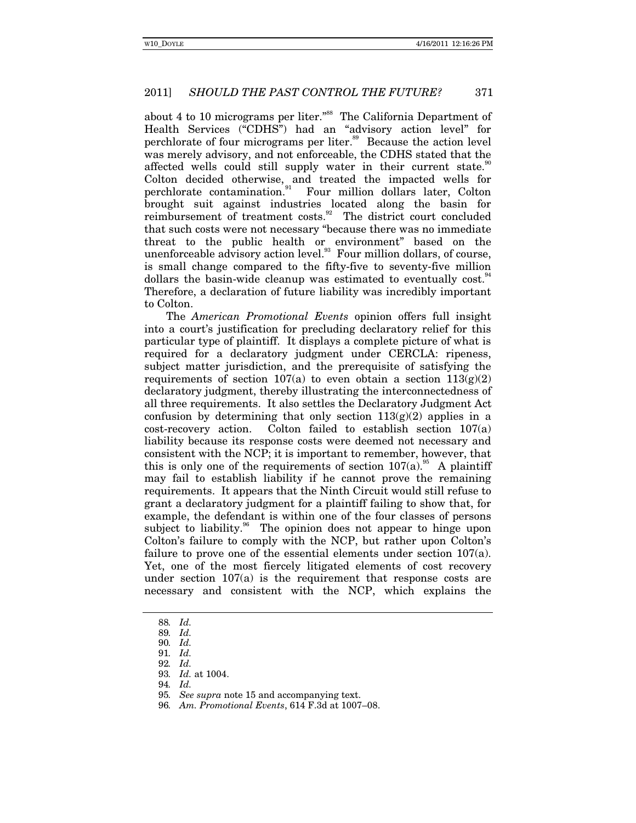about 4 to 10 micrograms per liter."<sup>88</sup> The California Department of Health Services ("CDHS") had an "advisory action level" for perchlorate of four micrograms per liter.<sup>89</sup> Because the action level was merely advisory, and not enforceable, the CDHS stated that the affected wells could still supply water in their current state. Colton decided otherwise, and treated the impacted wells for perchlorate contamination.<sup>91</sup> Four million dollars later, Colton brought suit against industries located along the basin for reimbursement of treatment costs.<sup>92</sup> The district court concluded that such costs were not necessary "because there was no immediate threat to the public health or environment" based on the unenforceable advisory action level. $93$  Four million dollars, of course, is small change compared to the fifty-five to seventy-five million dollars the basin-wide cleanup was estimated to eventually cost. Therefore, a declaration of future liability was incredibly important to Colton.

The *American Promotional Events* opinion offers full insight into a court's justification for precluding declaratory relief for this particular type of plaintiff. It displays a complete picture of what is required for a declaratory judgment under CERCLA: ripeness, subject matter jurisdiction, and the prerequisite of satisfying the requirements of section  $107(a)$  to even obtain a section  $113(g)(2)$ declaratory judgment, thereby illustrating the interconnectedness of all three requirements. It also settles the Declaratory Judgment Act confusion by determining that only section  $113(g)(2)$  applies in a cost-recovery action. Colton failed to establish section 107(a) liability because its response costs were deemed not necessary and consistent with the NCP; it is important to remember, however, that this is only one of the requirements of section  $107(a)$ .<sup>95</sup> A plaintiff may fail to establish liability if he cannot prove the remaining requirements. It appears that the Ninth Circuit would still refuse to grant a declaratory judgment for a plaintiff failing to show that, for example, the defendant is within one of the four classes of persons subject to liability.<sup>36</sup> The opinion does not appear to hinge upon Colton's failure to comply with the NCP, but rather upon Colton's failure to prove one of the essential elements under section  $107(a)$ . Yet, one of the most fiercely litigated elements of cost recovery under section  $107(a)$  is the requirement that response costs are necessary and consistent with the NCP, which explains the

<sup>88</sup>*. Id.* 

<sup>89</sup>*. Id.* 

<sup>90</sup>*. Id.* 

<sup>91</sup>*. Id.* 92*. Id.* 

<sup>93</sup>*. Id.* at 1004.

<sup>94</sup>*. Id.* 

<sup>95</sup>*. See supra* note 15 and accompanying text.

<sup>96</sup>*. Am. Promotional Events*, 614 F.3d at 1007–08.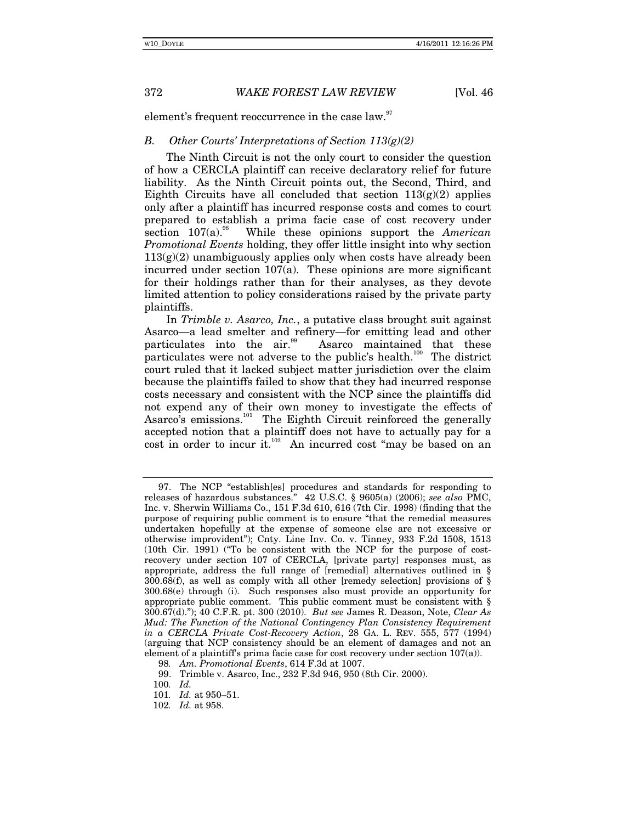element's frequent reoccurrence in the case law.<sup>97</sup>

#### *B. Other Courts' Interpretations of Section 113(g)(2)*

The Ninth Circuit is not the only court to consider the question of how a CERCLA plaintiff can receive declaratory relief for future liability. As the Ninth Circuit points out, the Second, Third, and Eighth Circuits have all concluded that section  $113(g)(2)$  applies only after a plaintiff has incurred response costs and comes to court prepared to establish a prima facie case of cost recovery under section 107(a).<sup>38</sup> While these opinions support the *American Promotional Events* holding, they offer little insight into why section  $113(g)(2)$  unambiguously applies only when costs have already been incurred under section  $107(a)$ . These opinions are more significant for their holdings rather than for their analyses, as they devote limited attention to policy considerations raised by the private party plaintiffs.

In *Trimble v. Asarco, Inc.*, a putative class brought suit against Asarco—a lead smelter and refinery—for emitting lead and other particulates into the air.<sup>99</sup> Asarco maintained that these particulates were not adverse to the public's health.<sup>100</sup> The district court ruled that it lacked subject matter jurisdiction over the claim because the plaintiffs failed to show that they had incurred response costs necessary and consistent with the NCP since the plaintiffs did not expend any of their own money to investigate the effects of Asarco's emissions.<sup>101</sup> The Eighth Circuit reinforced the generally accepted notion that a plaintiff does not have to actually pay for a cost in order to incur it.<sup>102</sup> An incurred cost "may be based on an

 <sup>97.</sup> The NCP "establish[es] procedures and standards for responding to releases of hazardous substances." 42 U.S.C. § 9605(a) (2006); *see also* PMC, Inc. v. Sherwin Williams Co., 151 F.3d 610, 616 (7th Cir. 1998) (finding that the purpose of requiring public comment is to ensure "that the remedial measures undertaken hopefully at the expense of someone else are not excessive or otherwise improvident"); Cnty. Line Inv. Co. v. Tinney, 933 F.2d 1508, 1513 (10th Cir. 1991) ("To be consistent with the NCP for the purpose of costrecovery under section 107 of CERCLA, [private party] responses must, as appropriate, address the full range of [remedial] alternatives outlined in § 300.68(f), as well as comply with all other [remedy selection] provisions of  $\S$ 300.68(e) through (i). Such responses also must provide an opportunity for appropriate public comment. This public comment must be consistent with § 300.67(d)."); 40 C.F.R. pt. 300 (2010). *But see* James R. Deason, Note, *Clear As Mud: The Function of the National Contingency Plan Consistency Requirement in a CERCLA Private Cost-Recovery Action*, 28 GA. L. REV. 555, 577 (1994) (arguing that NCP consistency should be an element of damages and not an element of a plaintiff's prima facie case for cost recovery under section  $107(a)$ ).

<sup>98</sup>*. Am. Promotional Events*, 614 F.3d at 1007.

 <sup>99.</sup> Trimble v. Asarco, Inc., 232 F.3d 946, 950 (8th Cir. 2000).

<sup>100</sup>*. Id.* 

<sup>101</sup>*. Id.* at 950–51.

<sup>102</sup>*. Id.* at 958.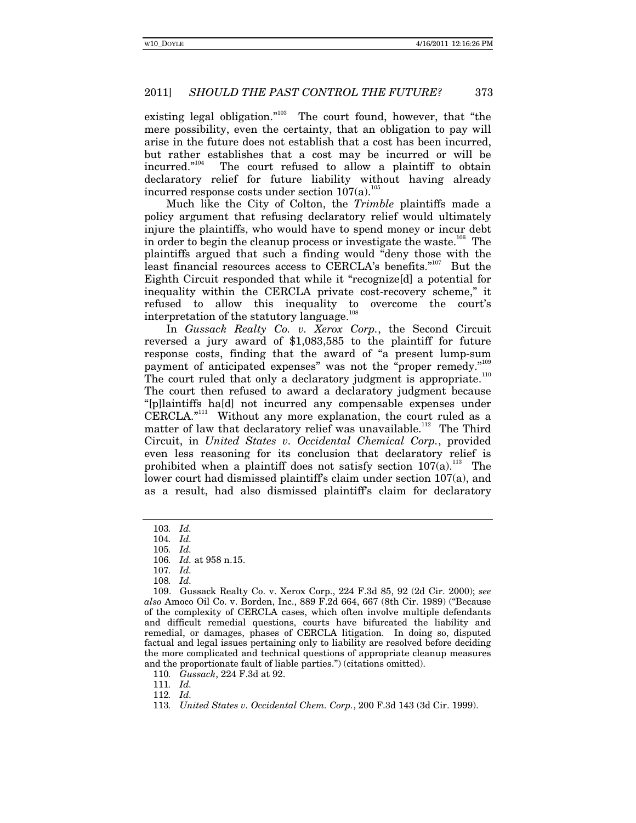existing legal obligation."<sup>103</sup> The court found, however, that "the mere possibility, even the certainty, that an obligation to pay will arise in the future does not establish that a cost has been incurred, but rather establishes that a cost may be incurred or will be incurred." $104$  The court refused to allow a plaintiff to obtain declaratory relief for future liability without having already incurred response costs under section  $107(a)$ .<sup>105</sup>

Much like the City of Colton, the *Trimble* plaintiffs made a policy argument that refusing declaratory relief would ultimately injure the plaintiffs, who would have to spend money or incur debt in order to begin the cleanup process or investigate the waste.<sup>106</sup> The plaintiffs argued that such a finding would "deny those with the least financial resources access to CERCLA's benefits."<sup>107</sup> But the Eighth Circuit responded that while it "recognize[d] a potential for inequality within the CERCLA private cost-recovery scheme," it refused to allow this inequality to overcome the court's interpretation of the statutory language.<sup>10</sup>

In *Gussack Realty Co. v. Xerox Corp.*, the Second Circuit reversed a jury award of \$1,083,585 to the plaintiff for future response costs, finding that the award of "a present lump-sum payment of anticipated expenses" was not the "proper remedy."<sup>109</sup> The court ruled that only a declaratory judgment is appropriate.<sup>110</sup>

The court then refused to award a declaratory judgment because "[p]laintiffs ha[d] not incurred any compensable expenses under  $CERCLA.<sup>9111</sup>$  Without any more explanation, the court ruled as a matter of law that declaratory relief was unavailable.<sup>112</sup> The Third Circuit, in *United States v. Occidental Chemical Corp.*, provided even less reasoning for its conclusion that declaratory relief is prohibited when a plaintiff does not satisfy section  $107(a)$ .<sup>113</sup> The lower court had dismissed plaintiff's claim under section 107(a), and as a result, had also dismissed plaintiff's claim for declaratory

110*. Gussack*, 224 F.3d at 92.

111*. Id.*

112*. Id.* 

<sup>103</sup>*. Id.* 

<sup>104</sup>*. Id.* 

<sup>105</sup>*. Id.* 

<sup>106</sup>*. Id.* at 958 n.15.

<sup>107</sup>*. Id.* 

<sup>108</sup>*. Id.* 

 <sup>109.</sup> Gussack Realty Co. v. Xerox Corp., 224 F.3d 85, 92 (2d Cir. 2000); *see also* Amoco Oil Co. v. Borden, Inc., 889 F.2d 664, 667 (8th Cir. 1989) ("Because of the complexity of CERCLA cases, which often involve multiple defendants and difficult remedial questions, courts have bifurcated the liability and remedial, or damages, phases of CERCLA litigation. In doing so, disputed factual and legal issues pertaining only to liability are resolved before deciding the more complicated and technical questions of appropriate cleanup measures and the proportionate fault of liable parties.") (citations omitted).

<sup>113</sup>*. United States v. Occidental Chem. Corp.*, 200 F.3d 143 (3d Cir. 1999).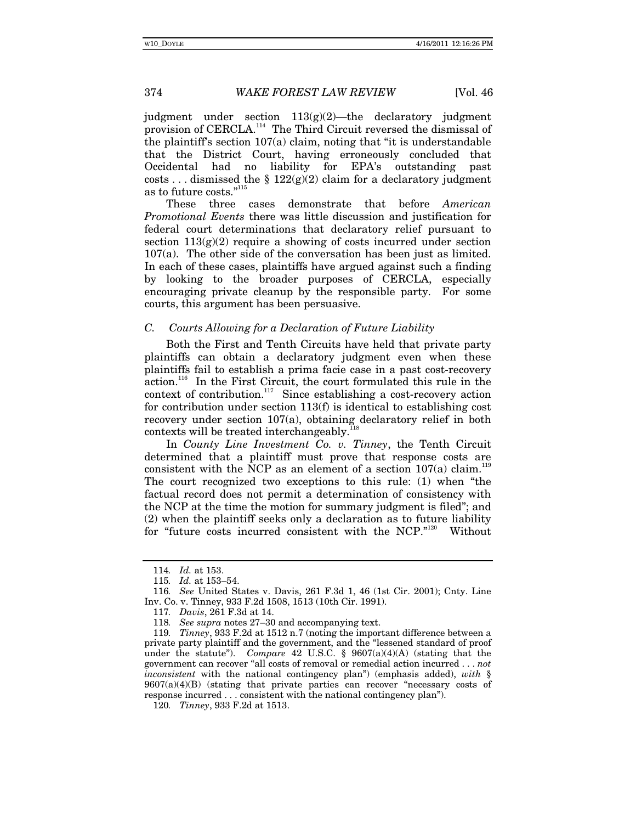judgment under section  $113(g)(2)$ —the declaratory judgment provision of CERCLA.<sup>114</sup> The Third Circuit reversed the dismissal of the plaintiff's section 107(a) claim, noting that "it is understandable that the District Court, having erroneously concluded that Occidental had no liability for EPA's outstanding past costs ... dismissed the §  $122(g)(2)$  claim for a declaratory judgment as to future costs."<sup>115</sup>

These three cases demonstrate that before *American Promotional Events* there was little discussion and justification for federal court determinations that declaratory relief pursuant to section  $113(g)(2)$  require a showing of costs incurred under section 107(a). The other side of the conversation has been just as limited. In each of these cases, plaintiffs have argued against such a finding by looking to the broader purposes of CERCLA, especially encouraging private cleanup by the responsible party. For some courts, this argument has been persuasive.

#### *C. Courts Allowing for a Declaration of Future Liability*

Both the First and Tenth Circuits have held that private party plaintiffs can obtain a declaratory judgment even when these plaintiffs fail to establish a prima facie case in a past cost-recovery  $\alpha$  action.<sup>116</sup> In the First Circuit, the court formulated this rule in the context of contribution.<sup>117</sup> Since establishing a cost-recovery action for contribution under section 113(f) is identical to establishing cost recovery under section 107(a), obtaining declaratory relief in both contexts will be treated interchangeably.

In *County Line Investment Co. v. Tinney*, the Tenth Circuit determined that a plaintiff must prove that response costs are consistent with the NCP as an element of a section  $107(a)$  claim.<sup>119</sup> The court recognized two exceptions to this rule: (1) when "the factual record does not permit a determination of consistency with the NCP at the time the motion for summary judgment is filed"; and (2) when the plaintiff seeks only a declaration as to future liability for "future costs incurred consistent with the NCP."<sup>120</sup> Without

<sup>114</sup>*. Id.* at 153.

<sup>115</sup>*. Id.* at 153–54.

<sup>116</sup>*. See* United States v. Davis, 261 F.3d 1, 46 (1st Cir. 2001); Cnty. Line Inv. Co. v. Tinney, 933 F.2d 1508, 1513 (10th Cir. 1991).

<sup>117</sup>*. Davis*, 261 F.3d at 14.

<sup>118</sup>*. See supra* notes 27–30 and accompanying text.

<sup>119</sup>*. Tinney*, 933 F.2d at 1512 n.7 (noting the important difference between a private party plaintiff and the government, and the "lessened standard of proof under the statute"). *Compare* 42 U.S.C. § 9607(a)(4)(A) (stating that the government can recover "all costs of removal or remedial action incurred . . . *not inconsistent* with the national contingency plan") (emphasis added), *with* §  $9607(a)(4)(B)$  (stating that private parties can recover "necessary costs of response incurred . . . consistent with the national contingency plan").

<sup>120</sup>*. Tinney*, 933 F.2d at 1513.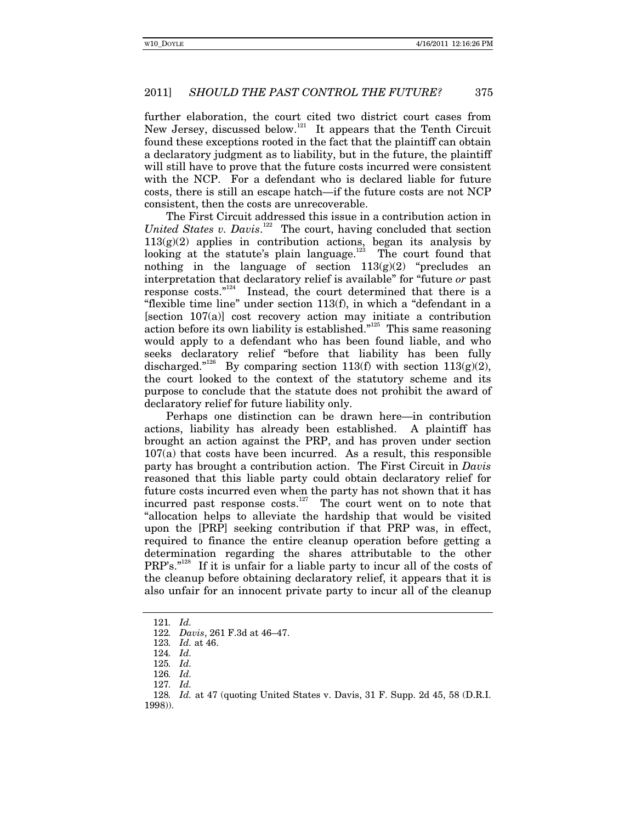further elaboration, the court cited two district court cases from New Jersey, discussed below.<sup>121</sup> It appears that the Tenth Circuit found these exceptions rooted in the fact that the plaintiff can obtain a declaratory judgment as to liability, but in the future, the plaintiff will still have to prove that the future costs incurred were consistent with the NCP. For a defendant who is declared liable for future costs, there is still an escape hatch—if the future costs are not NCP consistent, then the costs are unrecoverable.

The First Circuit addressed this issue in a contribution action in United States v. Davis.<sup>122</sup> The court, having concluded that section  $113(g)(2)$  applies in contribution actions, began its analysis by looking at the statute's plain language.<sup>123</sup> The court found that nothing in the language of section  $113(g)(2)$  "precludes an interpretation that declaratory relief is available" for "future *or* past response  $costs."$ <sup>124</sup> Instead, the court determined that there is a "flexible time line" under section 113(f), in which a "defendant in a [section 107(a)] cost recovery action may initiate a contribution action before its own liability is established."<sup>125</sup> This same reasoning would apply to a defendant who has been found liable, and who seeks declaratory relief "before that liability has been fully discharged."<sup>126</sup> By comparing section 113(f) with section 113(g)(2), the court looked to the context of the statutory scheme and its purpose to conclude that the statute does not prohibit the award of declaratory relief for future liability only.

Perhaps one distinction can be drawn here—in contribution actions, liability has already been established. A plaintiff has brought an action against the PRP, and has proven under section  $107(a)$  that costs have been incurred. As a result, this responsible party has brought a contribution action. The First Circuit in *Davis* reasoned that this liable party could obtain declaratory relief for future costs incurred even when the party has not shown that it has incurred past response  $costs$ .<sup>127</sup> The court went on to note that "allocation helps to alleviate the hardship that would be visited upon the [PRP] seeking contribution if that PRP was, in effect, required to finance the entire cleanup operation before getting a determination regarding the shares attributable to the other PRP's."<sup>128</sup> If it is unfair for a liable party to incur all of the costs of the cleanup before obtaining declaratory relief, it appears that it is also unfair for an innocent private party to incur all of the cleanup

<sup>121</sup>*. Id.* 

<sup>122</sup>*. Davis*, 261 F.3d at 46–47.

<sup>123</sup>*. Id.* at 46.

<sup>124</sup>*. Id.* 

<sup>125</sup>*. Id.* 

<sup>126</sup>*. Id.* 

<sup>127</sup>*. Id.* 

<sup>128</sup>*. Id.* at 47 (quoting United States v. Davis, 31 F. Supp. 2d 45, 58 (D.R.I. 1998)).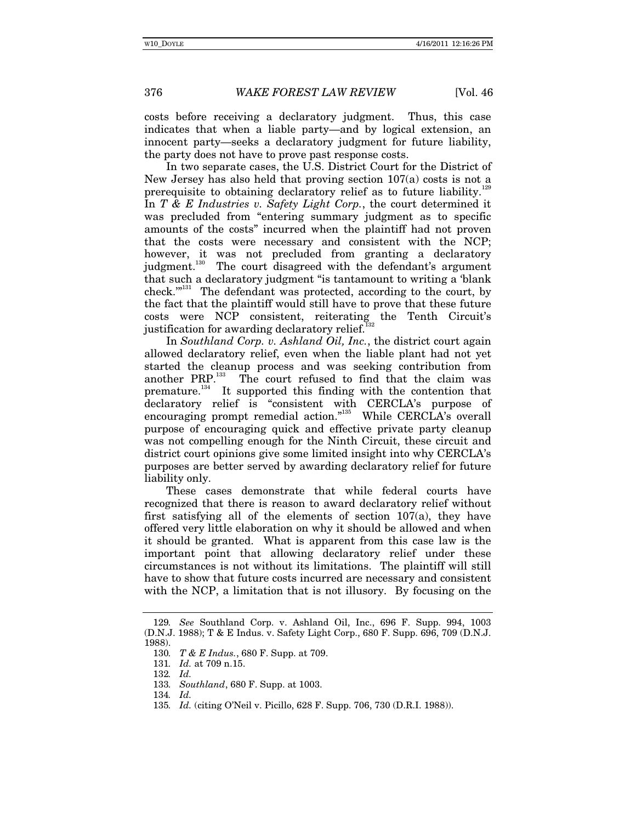costs before receiving a declaratory judgment. Thus, this case indicates that when a liable party—and by logical extension, an innocent party—seeks a declaratory judgment for future liability, the party does not have to prove past response costs.

In two separate cases, the U.S. District Court for the District of New Jersey has also held that proving section 107(a) costs is not a prerequisite to obtaining declaratory relief as to future liability.<sup>129</sup> In *T & E Industries v. Safety Light Corp.*, the court determined it was precluded from "entering summary judgment as to specific amounts of the costs" incurred when the plaintiff had not proven that the costs were necessary and consistent with the NCP; however, it was not precluded from granting a declaratory judgment.<sup>130</sup> The court disagreed with the defendant's argument that such a declaratory judgment "is tantamount to writing a 'blank check.<sup>"131</sup> The defendant was protected, according to the court, by the fact that the plaintiff would still have to prove that these future costs were NCP consistent, reiterating the Tenth Circuit's justification for awarding declaratory relief.<sup>1</sup>

In *Southland Corp. v. Ashland Oil, Inc.*, the district court again allowed declaratory relief, even when the liable plant had not yet started the cleanup process and was seeking contribution from another PRP.<sup>133</sup> The court refused to find that the claim was The court refused to find that the claim was premature.<sup>134</sup> It supported this finding with the contention that declaratory relief is "consistent with CERCLA's purpose of encouraging prompt remedial action."<sup>135</sup> While CERCLA's overall purpose of encouraging quick and effective private party cleanup was not compelling enough for the Ninth Circuit, these circuit and district court opinions give some limited insight into why CERCLA's purposes are better served by awarding declaratory relief for future liability only.

These cases demonstrate that while federal courts have recognized that there is reason to award declaratory relief without first satisfying all of the elements of section 107(a), they have offered very little elaboration on why it should be allowed and when it should be granted. What is apparent from this case law is the important point that allowing declaratory relief under these circumstances is not without its limitations. The plaintiff will still have to show that future costs incurred are necessary and consistent with the NCP, a limitation that is not illusory. By focusing on the

134*. Id.* 

<sup>129</sup>*. See* Southland Corp. v. Ashland Oil, Inc., 696 F. Supp. 994, 1003 (D.N.J. 1988); T & E Indus. v. Safety Light Corp., 680 F. Supp. 696, 709 (D.N.J. 1988).

<sup>130</sup>*. T & E Indus.*, 680 F. Supp. at 709.

<sup>131</sup>*. Id.* at 709 n.15.

<sup>132</sup>*. Id.* 

<sup>133</sup>*. Southland*, 680 F. Supp. at 1003.

<sup>135</sup>*. Id.* (citing O'Neil v. Picillo, 628 F. Supp. 706, 730 (D.R.I. 1988)).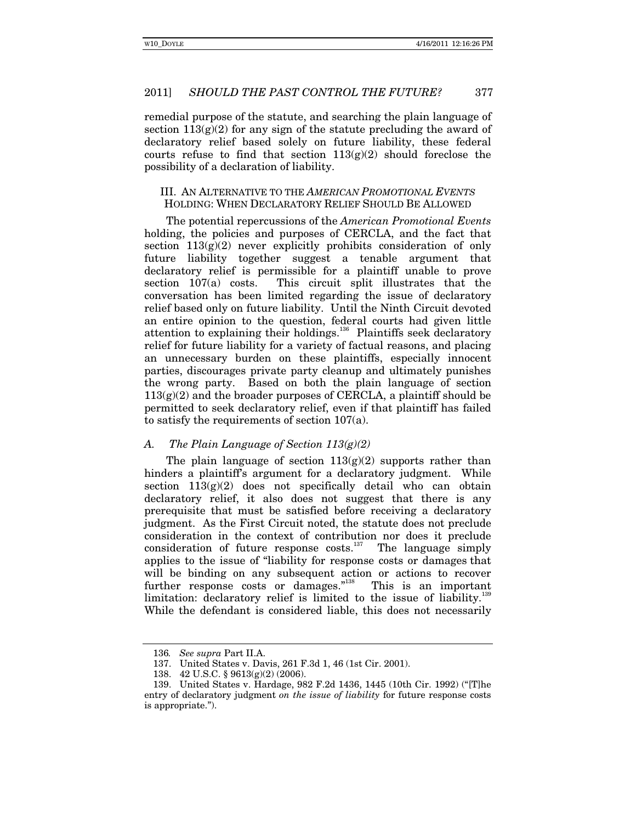remedial purpose of the statute, and searching the plain language of section  $113(g)(2)$  for any sign of the statute precluding the award of declaratory relief based solely on future liability, these federal courts refuse to find that section  $113(g)(2)$  should foreclose the possibility of a declaration of liability.

### III. AN ALTERNATIVE TO THE *AMERICAN PROMOTIONAL EVENTS* HOLDING: WHEN DECLARATORY RELIEF SHOULD BE ALLOWED

The potential repercussions of the *American Promotional Events*  holding, the policies and purposes of CERCLA, and the fact that section  $113(g)(2)$  never explicitly prohibits consideration of only future liability together suggest a tenable argument that declaratory relief is permissible for a plaintiff unable to prove section 107(a) costs. This circuit split illustrates that the conversation has been limited regarding the issue of declaratory relief based only on future liability. Until the Ninth Circuit devoted an entire opinion to the question, federal courts had given little attention to explaining their holdings.<sup>136</sup> Plaintiffs seek declaratory relief for future liability for a variety of factual reasons, and placing an unnecessary burden on these plaintiffs, especially innocent parties, discourages private party cleanup and ultimately punishes the wrong party. Based on both the plain language of section  $113(g)(2)$  and the broader purposes of CERCLA, a plaintiff should be permitted to seek declaratory relief, even if that plaintiff has failed to satisfy the requirements of section 107(a).

#### *A. The Plain Language of Section 113(g)(2)*

The plain language of section  $113(g)(2)$  supports rather than hinders a plaintiff's argument for a declaratory judgment. While section  $113(g)(2)$  does not specifically detail who can obtain declaratory relief, it also does not suggest that there is any prerequisite that must be satisfied before receiving a declaratory judgment. As the First Circuit noted, the statute does not preclude consideration in the context of contribution nor does it preclude consideration of future response costs. $137$  The language simply applies to the issue of "liability for response costs or damages that will be binding on any subsequent action or actions to recover further response costs or damages."<sup>138</sup> This is an important limitation: declaratory relief is limited to the issue of liability.<sup>139</sup> While the defendant is considered liable, this does not necessarily

<sup>136</sup>*. See supra* Part II.A.

 <sup>137.</sup> United States v. Davis, 261 F.3d 1, 46 (1st Cir. 2001).

 <sup>138. 42</sup> U.S.C. § 9613(g)(2) (2006).

 <sup>139.</sup> United States v. Hardage, 982 F.2d 1436, 1445 (10th Cir. 1992) ("[T]he entry of declaratory judgment *on the issue of liability* for future response costs is appropriate.").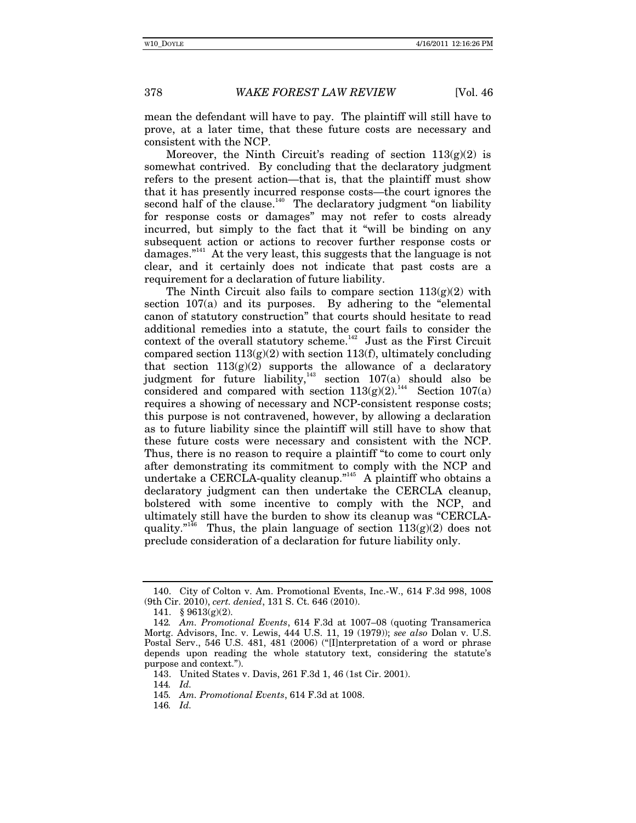mean the defendant will have to pay. The plaintiff will still have to prove, at a later time, that these future costs are necessary and consistent with the NCP.

Moreover, the Ninth Circuit's reading of section  $113(g)(2)$  is somewhat contrived. By concluding that the declaratory judgment refers to the present action—that is, that the plaintiff must show that it has presently incurred response costs—the court ignores the second half of the clause.<sup>140</sup> The declaratory judgment "on liability" for response costs or damages" may not refer to costs already incurred, but simply to the fact that it "will be binding on any subsequent action or actions to recover further response costs or damages."<sup>141</sup> At the very least, this suggests that the language is not clear, and it certainly does not indicate that past costs are a requirement for a declaration of future liability.

The Ninth Circuit also fails to compare section  $113(g)(2)$  with section 107(a) and its purposes. By adhering to the "elemental canon of statutory construction" that courts should hesitate to read additional remedies into a statute, the court fails to consider the context of the overall statutory scheme. $142$  Just as the First Circuit compared section  $113(g)(2)$  with section  $113(f)$ , ultimately concluding that section  $113(g)(2)$  supports the allowance of a declaratory judgment for future liability,<sup>143</sup> section  $107(a)$  should also be considered and compared with section  $113(g)(2)$ .<sup>144</sup> Section 107(a) requires a showing of necessary and NCP-consistent response costs; this purpose is not contravened, however, by allowing a declaration as to future liability since the plaintiff will still have to show that these future costs were necessary and consistent with the NCP. Thus, there is no reason to require a plaintiff "to come to court only after demonstrating its commitment to comply with the NCP and undertake a CERCLA-quality cleanup."<sup>145</sup> A plaintiff who obtains a declaratory judgment can then undertake the CERCLA cleanup, bolstered with some incentive to comply with the NCP, and ultimately still have the burden to show its cleanup was "CERCLAquality."<sup>146</sup> Thus, the plain language of section  $113(g)(2)$  does not preclude consideration of a declaration for future liability only.

 <sup>140.</sup> City of Colton v. Am. Promotional Events, Inc.-W., 614 F.3d 998, 1008 (9th Cir. 2010), *cert. denied*, 131 S. Ct. 646 (2010).

 <sup>141. § 9613(</sup>g)(2).

<sup>142</sup>*. Am. Promotional Events*, 614 F.3d at 1007–08 (quoting Transamerica Mortg. Advisors, Inc. v. Lewis, 444 U.S. 11, 19 (1979)); *see also* Dolan v. U.S. Postal Serv., 546 U.S. 481, 481 (2006) ("[I]nterpretation of a word or phrase depends upon reading the whole statutory text, considering the statute's purpose and context.").

 <sup>143.</sup> United States v. Davis, 261 F.3d 1, 46 (1st Cir. 2001).

<sup>144</sup>*. Id.*

<sup>145</sup>*. Am. Promotional Events*, 614 F.3d at 1008.

<sup>146</sup>*. Id.*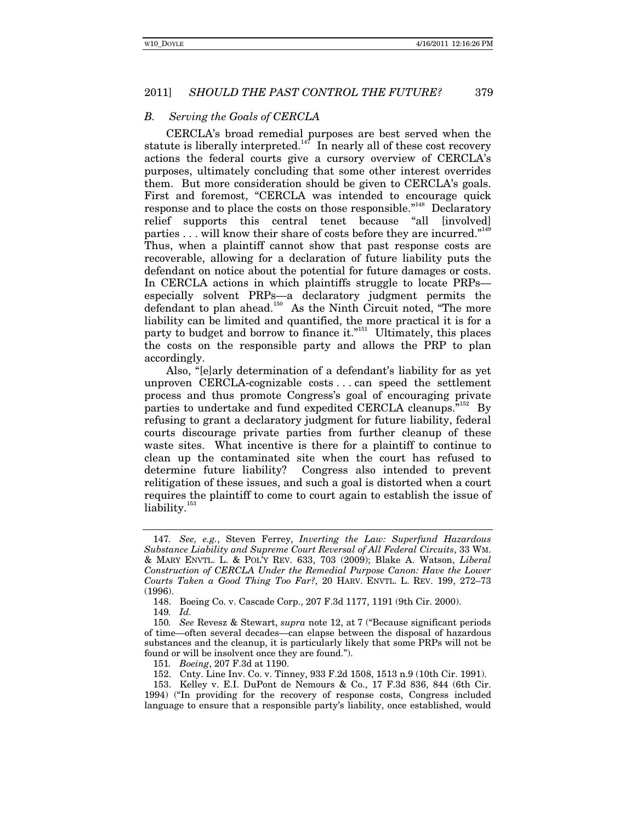# *B. Serving the Goals of CERCLA*

CERCLA's broad remedial purposes are best served when the statute is liberally interpreted.<sup>147</sup> In nearly all of these cost recovery actions the federal courts give a cursory overview of CERCLA's purposes, ultimately concluding that some other interest overrides them. But more consideration should be given to CERCLA's goals. First and foremost, "CERCLA was intended to encourage quick response and to place the costs on those responsible."<sup>148</sup> Declaratory relief supports this central tenet because "all [involved] parties . . . will know their share of costs before they are incurred."<sup>149</sup> Thus, when a plaintiff cannot show that past response costs are recoverable, allowing for a declaration of future liability puts the defendant on notice about the potential for future damages or costs. In CERCLA actions in which plaintiffs struggle to locate PRPs especially solvent PRPs—a declaratory judgment permits the defendant to plan ahead.<sup>150</sup> As the Ninth Circuit noted, "The more liability can be limited and quantified, the more practical it is for a party to budget and borrow to finance it."<sup>151</sup> Ultimately, this places the costs on the responsible party and allows the PRP to plan accordingly.

Also, "[e]arly determination of a defendant's liability for as yet unproven CERCLA-cognizable costs . . . can speed the settlement process and thus promote Congress's goal of encouraging private parties to undertake and fund expedited CERCLA cleanups."152 By refusing to grant a declaratory judgment for future liability, federal courts discourage private parties from further cleanup of these waste sites. What incentive is there for a plaintiff to continue to clean up the contaminated site when the court has refused to determine future liability? Congress also intended to prevent relitigation of these issues, and such a goal is distorted when a court requires the plaintiff to come to court again to establish the issue of liability.<sup>153</sup>

<sup>147</sup>*. See, e.g.*, Steven Ferrey, *Inverting the Law: Superfund Hazardous Substance Liability and Supreme Court Reversal of All Federal Circuits*, 33 WM. & MARY ENVTL. L. & POL'Y REV. 633, 703 (2009); Blake A. Watson, *Liberal Construction of CERCLA Under the Remedial Purpose Canon: Have the Lower Courts Taken a Good Thing Too Far?*, 20 HARV. ENVTL. L. REV. 199, 272–73 (1996).

 <sup>148.</sup> Boeing Co. v. Cascade Corp., 207 F.3d 1177, 1191 (9th Cir. 2000).

<sup>149</sup>*. Id.* 

<sup>150</sup>*. See* Revesz & Stewart, *supra* note 12, at 7 ("Because significant periods of time—often several decades—can elapse between the disposal of hazardous substances and the cleanup, it is particularly likely that some PRPs will not be found or will be insolvent once they are found.").

<sup>151</sup>*. Boeing*, 207 F.3d at 1190.

 <sup>152.</sup> Cnty. Line Inv. Co. v. Tinney, 933 F.2d 1508, 1513 n.9 (10th Cir. 1991).

 <sup>153.</sup> Kelley v. E.I. DuPont de Nemours & Co., 17 F.3d 836, 844 (6th Cir. 1994) ("In providing for the recovery of response costs, Congress included language to ensure that a responsible party's liability, once established, would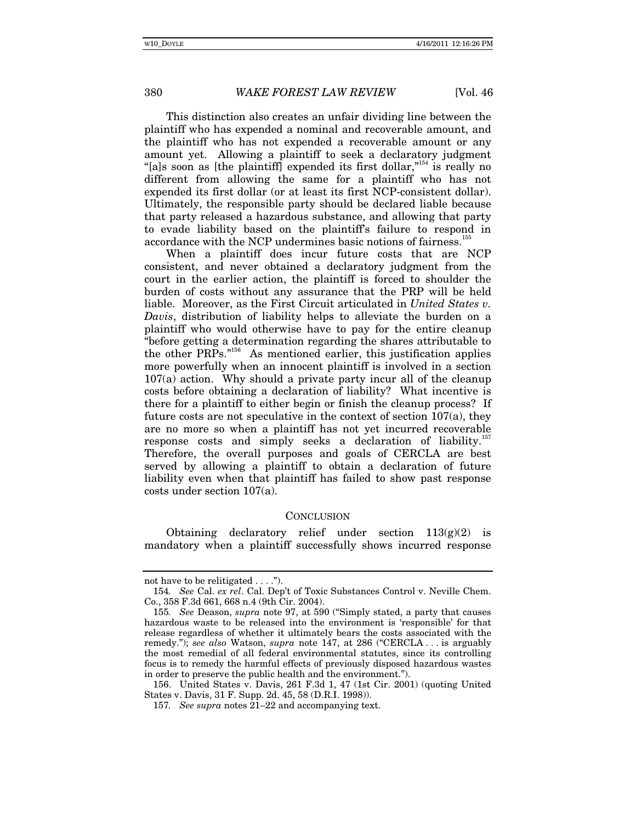This distinction also creates an unfair dividing line between the plaintiff who has expended a nominal and recoverable amount, and the plaintiff who has not expended a recoverable amount or any amount yet. Allowing a plaintiff to seek a declaratory judgment "[a]s soon as [the plaintiff] expended its first dollar,"<sup>154</sup> is really no different from allowing the same for a plaintiff who has not expended its first dollar (or at least its first NCP-consistent dollar). Ultimately, the responsible party should be declared liable because that party released a hazardous substance, and allowing that party to evade liability based on the plaintiff's failure to respond in accordance with the NCP undermines basic notions of fairness.<sup>1</sup>

When a plaintiff does incur future costs that are NCP consistent, and never obtained a declaratory judgment from the court in the earlier action, the plaintiff is forced to shoulder the burden of costs without any assurance that the PRP will be held liable. Moreover, as the First Circuit articulated in *United States v. Davis*, distribution of liability helps to alleviate the burden on a plaintiff who would otherwise have to pay for the entire cleanup "before getting a determination regarding the shares attributable to the other PRPs."<sup>156</sup> As mentioned earlier, this justification applies more powerfully when an innocent plaintiff is involved in a section 107(a) action. Why should a private party incur all of the cleanup costs before obtaining a declaration of liability? What incentive is there for a plaintiff to either begin or finish the cleanup process? If future costs are not speculative in the context of section 107(a), they are no more so when a plaintiff has not yet incurred recoverable response costs and simply seeks a declaration of liability.<sup>14</sup> Therefore, the overall purposes and goals of CERCLA are best served by allowing a plaintiff to obtain a declaration of future liability even when that plaintiff has failed to show past response costs under section 107(a).

#### **CONCLUSION**

Obtaining declaratory relief under section  $113(g)(2)$  is mandatory when a plaintiff successfully shows incurred response

not have to be relitigated . . . .").

<sup>154</sup>*. See* Cal. *ex rel*. Cal. Dep't of Toxic Substances Control v. Neville Chem. Co., 358 F.3d 661, 668 n.4 (9th Cir. 2004).

<sup>155</sup>*. See* Deason, *supra* note 97, at 590 ("Simply stated, a party that causes hazardous waste to be released into the environment is 'responsible' for that release regardless of whether it ultimately bears the costs associated with the remedy."); *see also* Watson, *supra* note 147, at 286 ("CERCLA . . . is arguably the most remedial of all federal environmental statutes, since its controlling focus is to remedy the harmful effects of previously disposed hazardous wastes in order to preserve the public health and the environment.").

 <sup>156.</sup> United States v. Davis, 261 F.3d 1, 47 (1st Cir. 2001) (quoting United States v. Davis, 31 F. Supp. 2d. 45, 58 (D.R.I. 1998)).

<sup>157</sup>*. See supra* notes 21–22 and accompanying text.